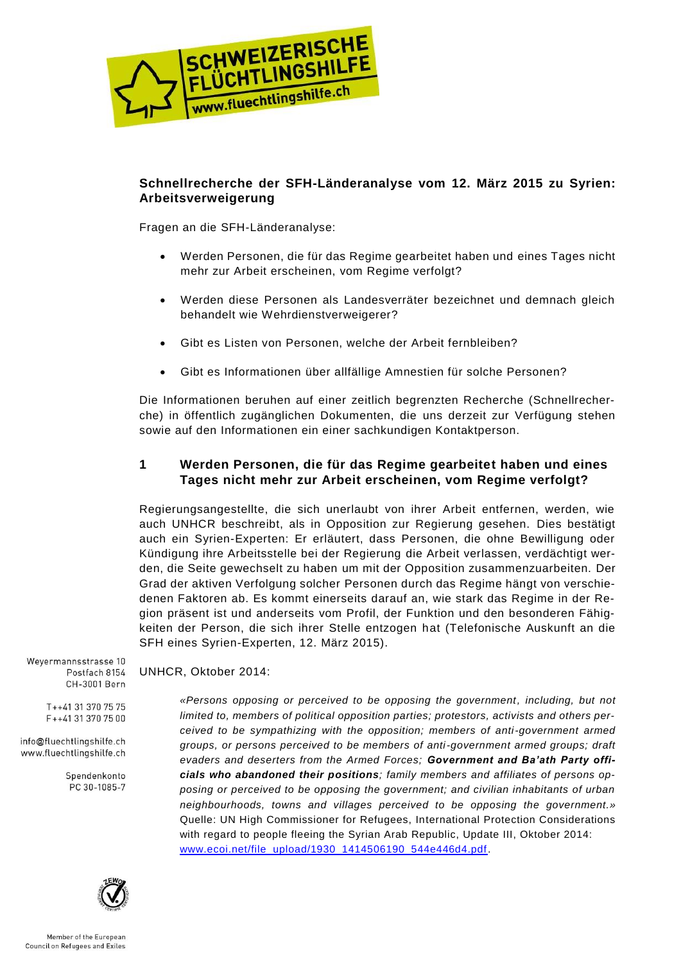

# **Schnellrecherche der SFH-Länderanalyse vom 12. März 2015 zu Syrien: Arbeitsverweigerung**

Fragen an die SFH-Länderanalyse:

UNHCR, Oktober 2014:

- Werden Personen, die für das Regime gearbeitet haben und eines Tages nicht mehr zur Arbeit erscheinen, vom Regime verfolgt?
- Werden diese Personen als Landesverräter bezeichnet und demnach gleich behandelt wie Wehrdienstverweigerer?
- Gibt es Listen von Personen, welche der Arbeit fernbleiben?
- Gibt es Informationen über allfällige Amnestien für solche Personen?

Die Informationen beruhen auf einer zeitlich begrenzten Recherche (Schnellrecherche) in öffentlich zugänglichen Dokumenten, die uns derzeit zur Verfügung stehen sowie auf den Informationen ein einer sachkundigen Kontaktperson.

# **1 Werden Personen, die für das Regime gearbeitet haben und eines Tages nicht mehr zur Arbeit erscheinen, vom Regime verfolgt?**

Regierungsangestellte, die sich unerlaubt von ihrer Arbeit entfernen, werden, wie auch UNHCR beschreibt, als in Opposition zur Regierung gesehen. Dies bestätigt auch ein Syrien-Experten: Er erläutert, dass Personen, die ohne Bewilligung oder Kündigung ihre Arbeitsstelle bei der Regierung die Arbeit verlassen, verdächtigt werden, die Seite gewechselt zu haben um mit der Opposition zusammenzuarbeiten. Der Grad der aktiven Verfolgung solcher Personen durch das Regime hängt von verschiedenen Faktoren ab. Es kommt einerseits darauf an, wie stark das Regime in der Region präsent ist und anderseits vom Profil, der Funktion und den besonderen Fähigkeiten der Person, die sich ihrer Stelle entzogen hat (Telefonische Auskunft an die SFH eines Syrien-Experten, 12. März 2015).

Weyermannsstrasse 10 Postfach 8154 CH-3001 Bern

> T++41 31 370 75 75 F++41 31 370 75 00

info@fluechtlingshilfe.ch www.fluechtlingshilfe.ch

> Spendenkonto PC 30-1085-7



*«Persons opposing or perceived to be opposing the government, including, but not limited to, members of political opposition parties; protestors, activists and others perceived to be sympathizing with the opposition; members of anti-government armed groups, or persons perceived to be members of anti-government armed groups; draft evaders and deserters from the Armed Forces; Government and Ba'ath Party officials who abandoned their positions; family members and affiliates of persons opposing or perceived to be opposing the government; and civilian inhabitants of urban neighbourhoods, towns and villages perceived to be opposing the government.»* Quelle: UN High Commissioner for Refugees, International Protection Considerations with regard to people fleeing the Syrian Arab Republic, Update III, Oktober 2014: [www.ecoi.net/file\\_upload/1930\\_1414506190\\_544e446d4.pdf.](http://www.ecoi.net/file_upload/1930_1414506190_544e446d4.pdf)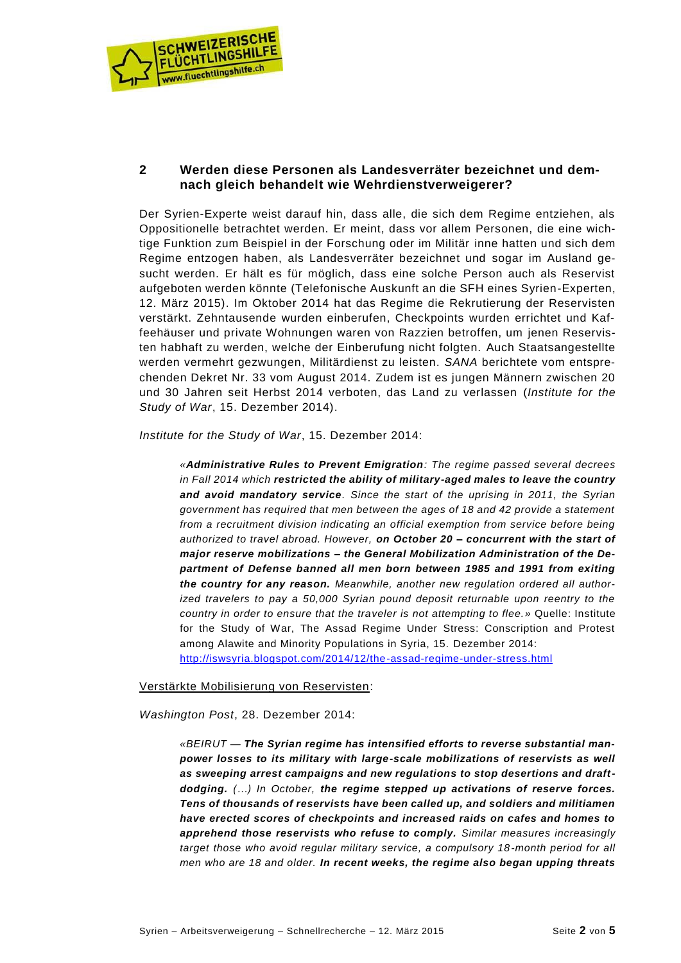

## **2 Werden diese Personen als Landesverräter bezeichnet und demnach gleich behandelt wie Wehrdienstverweigerer?**

Der Syrien-Experte weist darauf hin, dass alle, die sich dem Regime entziehen, als Oppositionelle betrachtet werden. Er meint, dass vor allem Personen, die eine wichtige Funktion zum Beispiel in der Forschung oder im Militär inne hatten und sich dem Regime entzogen haben, als Landesverräter bezeichnet und sogar im Ausland gesucht werden. Er hält es für möglich, dass eine solche Person auch als Reservist aufgeboten werden könnte (Telefonische Auskunft an die SFH eines Syrien-Experten, 12. März 2015). Im Oktober 2014 hat das Regime die Rekrutierung der Reservisten verstärkt. Zehntausende wurden einberufen, Checkpoints wurden errichtet und Kaffeehäuser und private Wohnungen waren von Razzien betroffen, um jenen Reservisten habhaft zu werden, welche der Einberufung nicht folgten. Auch Staatsangestellte werden vermehrt gezwungen, Militärdienst zu leisten. *SANA* berichtete vom entsprechenden Dekret Nr. 33 vom August 2014. Zudem ist es jungen Männern zwischen 20 und 30 Jahren seit Herbst 2014 verboten, das Land zu verlassen (*Institute for the Study of War*, 15. Dezember 2014).

*Institute for the Study of War*, 15. Dezember 2014:

*«Administrative Rules to Prevent Emigration: The regime passed several decrees in Fall 2014 which restricted the ability of military-aged males to leave the country and avoid mandatory service. Since the start of the uprising in 2011, the Syrian government has required that men between the ages of 18 and 42 provide a statement from a recruitment division indicating an official exemption from service before being authorized to travel abroad. However, on October 20 – concurrent with the start of major reserve mobilizations – the General Mobilization Administration of the Department of Defense banned all men born between 1985 and 1991 from exiting the country for any reason. Meanwhile, another new regulation ordered all authorized travelers to pay a 50,000 Syrian pound deposit returnable upon reentry to the country in order to ensure that the traveler is not attempting to flee.»* Quelle: Institute for the Study of War, The Assad Regime Under Stress: Conscription and Protest among Alawite and Minority Populations in Syria, 15. Dezember 2014: <http://iswsyria.blogspot.com/2014/12/the-assad-regime-under-stress.html>

#### Verstärkte Mobilisierung von Reservisten:

*Washington Post*, 28. Dezember 2014:

*«BEIRUT — The Syrian regime has intensified efforts to reverse substantial manpower losses to its military with large-scale mobilizations of reservists as well as sweeping arrest campaigns and new regulations to stop desertions and draftdodging. (…) In October, the regime stepped up activations of reserve forces. Tens of thousands of reservists have been called up, and soldiers and militiamen have erected scores of checkpoints and increased raids on cafes and homes to apprehend those reservists who refuse to comply. Similar measures increasingly target those who avoid regular military service, a compulsory 18 -month period for all men who are 18 and older. In recent weeks, the regime also began upping threats*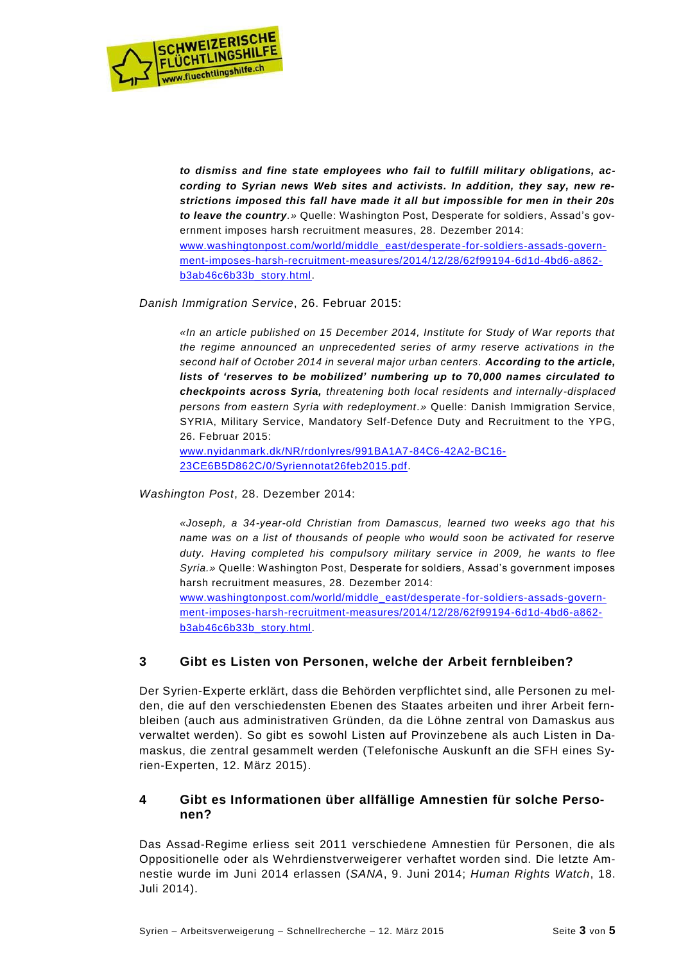

*to dismiss and fine state employees who fail to fulfill military obligations, according to Syrian news Web sites and activists. In addition, they say, new restrictions imposed this fall have made it all but impossible for men in their 20s to leave the country.»* Quelle: Washington Post, Desperate for soldiers, Assad's government imposes harsh recruitment measures, 28. Dezember 2014: [www.washingtonpost.com/world/middle\\_east/desperate-for-soldiers-assads-govern](http://www.washingtonpost.com/world/middle_east/desperate-for-soldiers-assads-government-imposes-harsh-recruitment-measures/2014/12/28/62f99194-6d1d-4bd6-a862-b3ab46c6b33b_story.html)[ment-imposes-harsh-recruitment-measures/2014/12/28/62f99194-6d1d-4bd6-a862](http://www.washingtonpost.com/world/middle_east/desperate-for-soldiers-assads-government-imposes-harsh-recruitment-measures/2014/12/28/62f99194-6d1d-4bd6-a862-b3ab46c6b33b_story.html) [b3ab46c6b33b\\_story.html.](http://www.washingtonpost.com/world/middle_east/desperate-for-soldiers-assads-government-imposes-harsh-recruitment-measures/2014/12/28/62f99194-6d1d-4bd6-a862-b3ab46c6b33b_story.html)

*Danish Immigration Service*, 26. Februar 2015:

*«In an article published on 15 December 2014, Institute for Study of War reports that the regime announced an unprecedented series of army reserve activations in the second half of October 2014 in several major urban centers. According to the article, lists of 'reserves to be mobilized' numbering up to 70,000 names circulated to checkpoints across Syria, threatening both local residents and internally-displaced persons from eastern Syria with redeployment.»* Quelle: Danish Immigration Service, SYRIA, Military Service, Mandatory Self-Defence Duty and Recruitment to the YPG, 26. Februar 2015:

[www.nyidanmark.dk/NR/rdonlyres/991BA1A7-84C6-42A2-BC16-](http://www.nyidanmark.dk/NR/rdonlyres/991BA1A7-84C6-42A2-BC16-23CE6B5D862C/0/Syriennotat26feb2015.pdf) [23CE6B5D862C/0/Syriennotat26feb2015.pdf.](http://www.nyidanmark.dk/NR/rdonlyres/991BA1A7-84C6-42A2-BC16-23CE6B5D862C/0/Syriennotat26feb2015.pdf)

*Washington Post*, 28. Dezember 2014:

*«Joseph, a 34-year-old Christian from Damascus, learned two weeks ago that his name was on a list of thousands of people who would soon be activated for reserve duty. Having completed his compulsory military service in 2009, he wants to flee Syria.»* Quelle: Washington Post, Desperate for soldiers, Assad's government imposes harsh recruitment measures, 28. Dezember 2014: [www.washingtonpost.com/world/middle\\_east/desperate-for-soldiers-assads-govern](http://www.washingtonpost.com/world/middle_east/desperate-for-soldiers-assads-government-imposes-harsh-recruitment-measures/2014/12/28/62f99194-6d1d-4bd6-a862-b3ab46c6b33b_story.html)[ment-imposes-harsh-recruitment-measures/2014/12/28/62f99194-6d1d-4bd6-a862](http://www.washingtonpost.com/world/middle_east/desperate-for-soldiers-assads-government-imposes-harsh-recruitment-measures/2014/12/28/62f99194-6d1d-4bd6-a862-b3ab46c6b33b_story.html) [b3ab46c6b33b\\_story.html.](http://www.washingtonpost.com/world/middle_east/desperate-for-soldiers-assads-government-imposes-harsh-recruitment-measures/2014/12/28/62f99194-6d1d-4bd6-a862-b3ab46c6b33b_story.html)

### **3 Gibt es Listen von Personen, welche der Arbeit fernbleiben?**

Der Syrien-Experte erklärt, dass die Behörden verpflichtet sind, alle Personen zu melden, die auf den verschiedensten Ebenen des Staates arbeiten und ihrer Arbeit fernbleiben (auch aus administrativen Gründen, da die Löhne zentral von Damaskus aus verwaltet werden). So gibt es sowohl Listen auf Provinzebene als auch Listen in Damaskus, die zentral gesammelt werden (Telefonische Auskunft an die SFH eines Syrien-Experten, 12. März 2015).

## **4 Gibt es Informationen über allfällige Amnestien für solche Personen?**

Das Assad-Regime erliess seit 2011 verschiedene Amnestien für Personen, die als Oppositionelle oder als Wehrdienstverweigerer verhaftet worden sind. Die letzte Amnestie wurde im Juni 2014 erlassen (*SANA*, 9. Juni 2014; *Human Rights Watch*, 18. Juli 2014).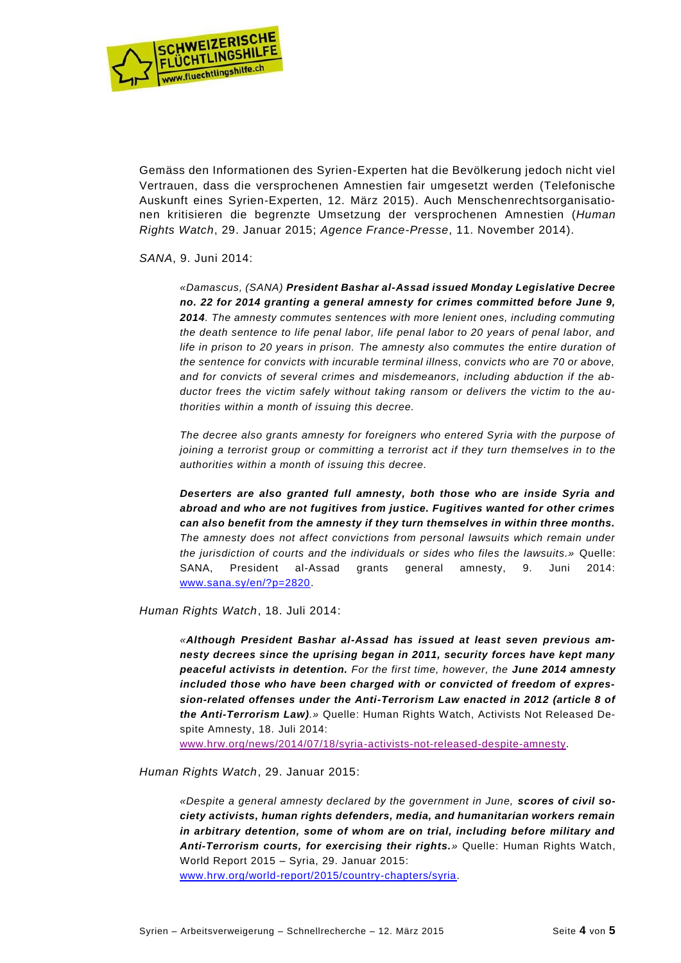

Gemäss den Informationen des Syrien-Experten hat die Bevölkerung jedoch nicht viel Vertrauen, dass die versprochenen Amnestien fair umgesetzt werden (Telefonische Auskunft eines Syrien-Experten, 12. März 2015). Auch Menschenrechtsorganisationen kritisieren die begrenzte Umsetzung der versprochenen Amnestien (*Human Rights Watch*, 29. Januar 2015; *Agence France-Presse*, 11. November 2014).

#### *SANA*, 9. Juni 2014:

*«Damascus, (SANA) President Bashar al-Assad issued Monday Legislative Decree no. 22 for 2014 granting a general amnesty for crimes committed before June 9, 2014. The amnesty commutes sentences with more lenient ones, including commuting the death sentence to life penal labor, life penal labor to 20 years of penal labor, and life in prison to 20 years in prison. The amnesty also commutes the entire duration of the sentence for convicts with incurable terminal illness, convicts who are 70 or above, and for convicts of several crimes and misdemeanors, including abduction if the abductor frees the victim safely without taking ransom or delivers the victim to the authorities within a month of issuing this decree.*

*The decree also grants amnesty for foreigners who entered Syria with the purpose of joining a terrorist group or committing a terrorist act if they turn themselves in to the authorities within a month of issuing this decree.*

*Deserters are also granted full amnesty, both those who are inside Syria and abroad and who are not fugitives from justice. Fugitives wanted for other crimes can also benefit from the amnesty if they turn themselves in within three months. The amnesty does not affect convictions from personal lawsuits which remain under the jurisdiction of courts and the individuals or sides who files the lawsuits.»* Quelle: SANA, President al-Assad grants general amnesty, 9. Juni 2014: [www.sana.sy/en/?p=2820.](http://www.sana.sy/en/?p=2820)

*Human Rights Watch*, 18. Juli 2014:

*«Although President Bashar al-Assad has issued at least seven previous amnesty decrees since the uprising began in 2011, security forces have kept many peaceful activists in detention. For the first time, however, the June 2014 amnesty included those who have been charged with or convicted of freedom of expression-related offenses under the Anti-Terrorism Law enacted in 2012 (article 8 of the Anti-Terrorism Law).»* Quelle: Human Rights Watch, Activists Not Released Despite Amnesty, 18. Juli 2014:

[www.hrw.org/news/2014/07/18/syria-activists-not-released-despite-amnesty.](https://www.hrw.org/news/2014/07/18/syria-activists-not-released-despite-amnesty)

*Human Rights Watch*, 29. Januar 2015:

*«Despite a general amnesty declared by the government in June, scores of civil society activists, human rights defenders, media, and humanitarian workers remain in arbitrary detention, some of whom are on trial, including before military and Anti-Terrorism courts, for exercising their rights.»* Quelle: Human Rights Watch, World Report 2015 – Syria, 29. Januar 2015:

[www.hrw.org/world-report/2015/country-chapters/syria.](http://www.hrw.org/world-report/2015/country-chapters/syria)